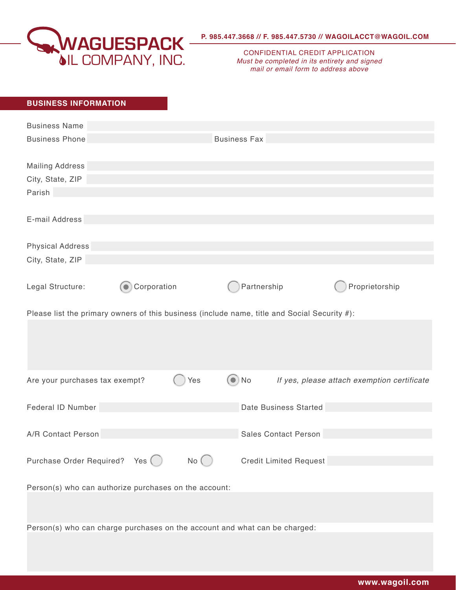

CONFIDENTIAL CREDIT APPLICATION *Must be completed in its entirety and signed mail or email form to address above*

## **BUSINESS INFORMATION**

| <b>Business Name</b>                                                                         |             |          |                     |                               |                                             |
|----------------------------------------------------------------------------------------------|-------------|----------|---------------------|-------------------------------|---------------------------------------------|
| <b>Business Phone</b>                                                                        |             |          | <b>Business Fax</b> |                               |                                             |
| <b>Mailing Address</b>                                                                       |             |          |                     |                               |                                             |
| City, State, ZIP                                                                             |             |          |                     |                               |                                             |
| Parish                                                                                       |             |          |                     |                               |                                             |
|                                                                                              |             |          |                     |                               |                                             |
| E-mail Address                                                                               |             |          |                     |                               |                                             |
| <b>Physical Address</b>                                                                      |             |          |                     |                               |                                             |
| City, State, ZIP                                                                             |             |          |                     |                               |                                             |
|                                                                                              |             |          |                     |                               |                                             |
| Legal Structure:                                                                             | Corporation |          | Partnership         |                               | Proprietorship                              |
|                                                                                              |             |          |                     |                               |                                             |
| Please list the primary owners of this business (include name, title and Social Security #): |             |          |                     |                               |                                             |
|                                                                                              |             |          |                     |                               |                                             |
|                                                                                              |             |          |                     |                               |                                             |
|                                                                                              |             |          |                     |                               |                                             |
|                                                                                              |             |          |                     |                               |                                             |
| Are your purchases tax exempt?                                                               |             | Yes      | $\odot$ No          |                               | If yes, please attach exemption certificate |
|                                                                                              |             |          |                     |                               |                                             |
| Federal ID Number                                                                            |             |          |                     | Date Business Started         |                                             |
|                                                                                              |             |          |                     |                               |                                             |
| A/R Contact Person                                                                           |             |          |                     | <b>Sales Contact Person</b>   |                                             |
|                                                                                              |             |          |                     |                               |                                             |
| Purchase Order Required? Yes ()                                                              |             | $No$ $($ |                     | <b>Credit Limited Request</b> |                                             |
|                                                                                              |             |          |                     |                               |                                             |
| Person(s) who can authorize purchases on the account:                                        |             |          |                     |                               |                                             |
|                                                                                              |             |          |                     |                               |                                             |
|                                                                                              |             |          |                     |                               |                                             |
| Person(s) who can charge purchases on the account and what can be charged:                   |             |          |                     |                               |                                             |
|                                                                                              |             |          |                     |                               |                                             |
|                                                                                              |             |          |                     |                               |                                             |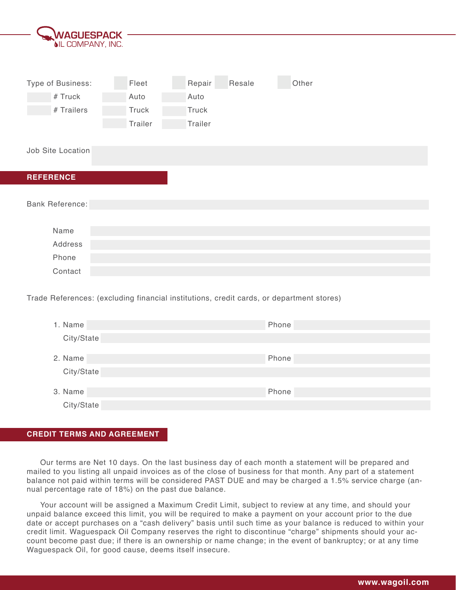| <b>WAGUESPACK</b>        |         |              |        |       |  |
|--------------------------|---------|--------------|--------|-------|--|
| <b>OIL COMPANY, INC.</b> |         |              |        |       |  |
|                          |         |              |        |       |  |
|                          |         |              |        |       |  |
| Type of Business:        | Fleet   | Repair       | Resale | Other |  |
| # Truck                  | Auto    | Auto         |        |       |  |
| # Trailers               | Truck   | <b>Truck</b> |        |       |  |
|                          | Trailer | Trailer      |        |       |  |
|                          |         |              |        |       |  |
| Job Site Location        |         |              |        |       |  |
|                          |         |              |        |       |  |
| <b>REFERENCE</b>         |         |              |        |       |  |
|                          |         |              |        |       |  |
| <b>Bank Reference:</b>   |         |              |        |       |  |
|                          |         |              |        |       |  |
| Name                     |         |              |        |       |  |
| Address                  |         |              |        |       |  |
| Phone                    |         |              |        |       |  |
| Contact                  |         |              |        |       |  |

Trade References: (excluding financial institutions, credit cards, or department stores)

| 1. Name    | Phone |
|------------|-------|
| City/State |       |
|            |       |
| 2. Name    | Phone |
| City/State |       |
|            |       |
| 3. Name    | Phone |
| City/State |       |

## **CREDIT TERMS AND AGREEMENT**

Our terms are Net 10 days. On the last business day of each month a statement will be prepared and mailed to you listing all unpaid invoices as of the close of business for that month. Any part of a statement balance not paid within terms will be considered PAST DUE and may be charged a 1.5% service charge (annual percentage rate of 18%) on the past due balance.

Your account will be assigned a Maximum Credit Limit, subject to review at any time, and should your unpaid balance exceed this limit, you will be required to make a payment on your account prior to the due date or accept purchases on a "cash delivery" basis until such time as your balance is reduced to within your credit limit. Waguespack Oil Company reserves the right to discontinue "charge" shipments should your account become past due; if there is an ownership or name change; in the event of bankruptcy; or at any time Waguespack Oil, for good cause, deems itself insecure.